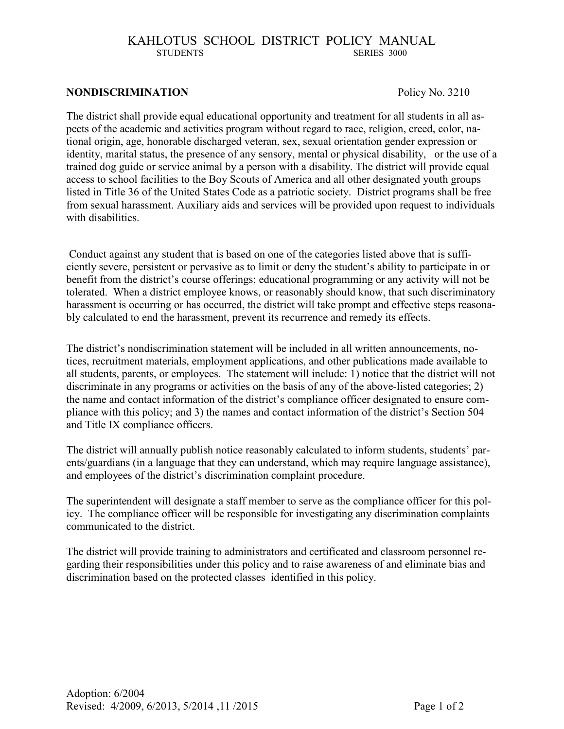# KAHLOTUS SCHOOL DISTRICT POLICY MANUAL STUDENTS SERIES 3000 SERIES 3000

#### **NONDISCRIMINATION** Policy No. 3210

The district shall provide equal educational opportunity and treatment for all students in all aspects of the academic and activities program without regard to race, religion, creed, color, national origin, age, honorable discharged veteran, sex, sexual orientation gender expression or identity, marital status, the presence of any sensory, mental or physical disability, or the use of a trained dog guide or service animal by a person with a disability. The district will provide equal access to school facilities to the Boy Scouts of America and all other designated youth groups listed in Title 36 of the United States Code as a patriotic society. District programs shall be free from sexual harassment. Auxiliary aids and services will be provided upon request to individuals with disabilities.

Conduct against any student that is based on one of the categories listed above that is sufficiently severe, persistent or pervasive as to limit or deny the student's ability to participate in or benefit from the district's course offerings; educational programming or any activity will not be tolerated. When a district employee knows, or reasonably should know, that such discriminatory harassment is occurring or has occurred, the district will take prompt and effective steps reasonably calculated to end the harassment, prevent its recurrence and remedy its effects.

The district's nondiscrimination statement will be included in all written announcements, notices, recruitment materials, employment applications, and other publications made available to all students, parents, or employees. The statement will include: 1) notice that the district will not discriminate in any programs or activities on the basis of any of the above-listed categories; 2) the name and contact information of the district's compliance officer designated to ensure compliance with this policy; and 3) the names and contact information of the district's Section 504 and Title IX compliance officers.

The district will annually publish notice reasonably calculated to inform students, students' parents/guardians (in a language that they can understand, which may require language assistance), and employees of the district's discrimination complaint procedure.

The superintendent will designate a staff member to serve as the compliance officer for this policy. The compliance officer will be responsible for investigating any discrimination complaints communicated to the district.

The district will provide training to administrators and certificated and classroom personnel regarding their responsibilities under this policy and to raise awareness of and eliminate bias and discrimination based on the protected classes identified in this policy.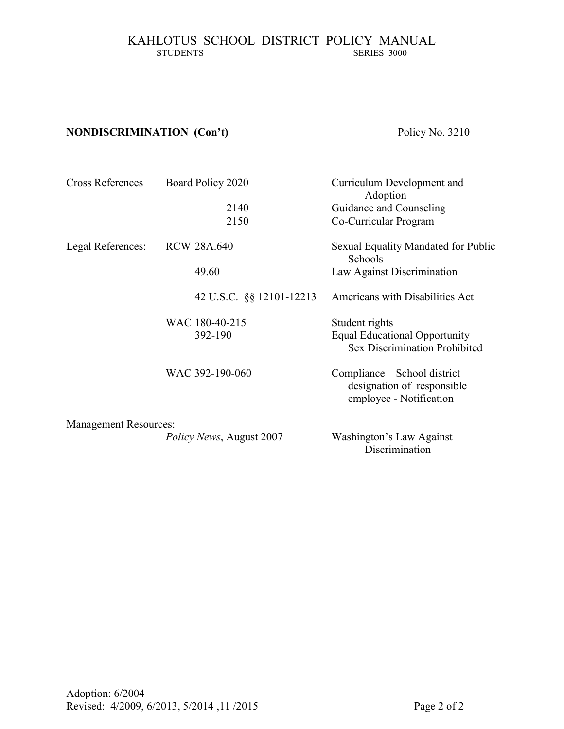# KAHLOTUS SCHOOL DISTRICT POLICY MANUAL STUDENTS SERIES 3000 SERIES 3000

# **NONDISCRIMINATION (Con't)** Policy No. 3210

| <b>Cross References</b>      | Board Policy 2020                | Curriculum Development and<br>Adoption                                                |
|------------------------------|----------------------------------|---------------------------------------------------------------------------------------|
|                              | 2140                             | Guidance and Counseling                                                               |
|                              | 2150                             | Co-Curricular Program                                                                 |
| Legal References:            | <b>RCW 28A.640</b>               | Sexual Equality Mandated for Public<br>Schools                                        |
|                              | 49.60                            | Law Against Discrimination                                                            |
|                              | 42 U.S.C. §§ 12101-12213         | Americans with Disabilities Act                                                       |
|                              | WAC 180-40-215                   | Student rights                                                                        |
|                              | 392-190                          | Equal Educational Opportunity —<br>Sex Discrimination Prohibited                      |
|                              | WAC 392-190-060                  | Compliance – School district<br>designation of responsible<br>employee - Notification |
| <b>Management Resources:</b> |                                  |                                                                                       |
|                              | <i>Policy News</i> , August 2007 | Washington's Law Against<br>Discrimination                                            |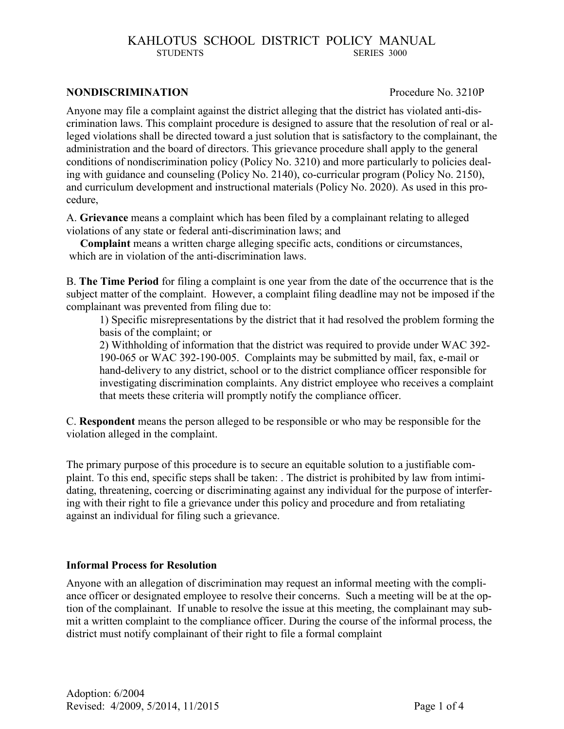# KAHLOTUS SCHOOL DISTRICT POLICY MANUAL STUDENTS SERIES 3000 SERIES 3000

#### **NONDISCRIMINATION** Procedure No. 3210P

Anyone may file a complaint against the district alleging that the district has violated anti-discrimination laws. This complaint procedure is designed to assure that the resolution of real or alleged violations shall be directed toward a just solution that is satisfactory to the complainant, the administration and the board of directors. This grievance procedure shall apply to the general conditions of nondiscrimination policy (Policy No. 3210) and more particularly to policies dealing with guidance and counseling (Policy No. 2140), co-curricular program (Policy No. 2150), and curriculum development and instructional materials (Policy No. 2020). As used in this procedure,

A. **Grievance** means a complaint which has been filed by a complainant relating to alleged violations of any state or federal anti-discrimination laws; and

 **Complaint** means a written charge alleging specific acts, conditions or circumstances, which are in violation of the anti-discrimination laws.

B. **The Time Period** for filing a complaint is one year from the date of the occurrence that is the subject matter of the complaint. However, a complaint filing deadline may not be imposed if the complainant was prevented from filing due to:

1) Specific misrepresentations by the district that it had resolved the problem forming the basis of the complaint; or

2) Withholding of information that the district was required to provide under WAC 392- 190-065 or WAC 392-190-005. Complaints may be submitted by mail, fax, e-mail or hand-delivery to any district, school or to the district compliance officer responsible for investigating discrimination complaints. Any district employee who receives a complaint that meets these criteria will promptly notify the compliance officer.

C. **Respondent** means the person alleged to be responsible or who may be responsible for the violation alleged in the complaint.

The primary purpose of this procedure is to secure an equitable solution to a justifiable complaint. To this end, specific steps shall be taken: . The district is prohibited by law from intimidating, threatening, coercing or discriminating against any individual for the purpose of interfering with their right to file a grievance under this policy and procedure and from retaliating against an individual for filing such a grievance.

## **Informal Process for Resolution**

Anyone with an allegation of discrimination may request an informal meeting with the compliance officer or designated employee to resolve their concerns. Such a meeting will be at the option of the complainant. If unable to resolve the issue at this meeting, the complainant may submit a written complaint to the compliance officer. During the course of the informal process, the district must notify complainant of their right to file a formal complaint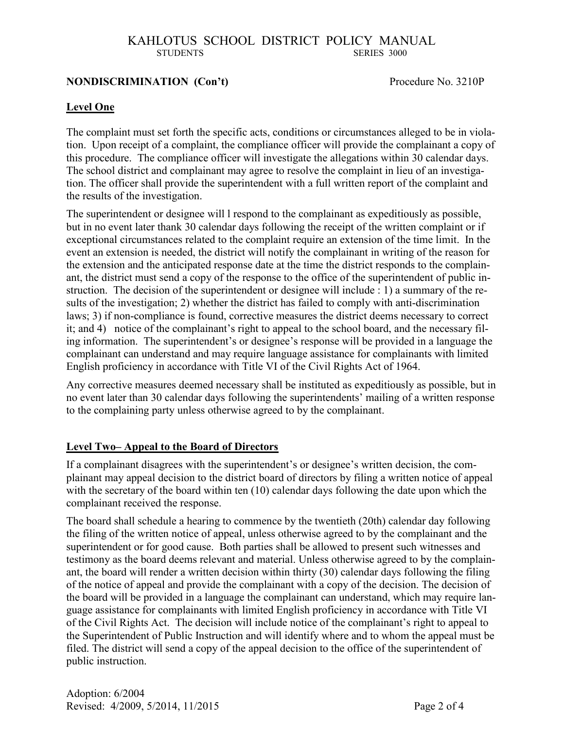# KAHLOTUS SCHOOL DISTRICT POLICY MANUAL STUDENTS SERIES 3000

## **NONDISCRIMINATION** (Con't) Procedure No. 3210P

# **Level One**

The complaint must set forth the specific acts, conditions or circumstances alleged to be in violation. Upon receipt of a complaint, the compliance officer will provide the complainant a copy of this procedure. The compliance officer will investigate the allegations within 30 calendar days. The school district and complainant may agree to resolve the complaint in lieu of an investigation. The officer shall provide the superintendent with a full written report of the complaint and the results of the investigation.

The superintendent or designee will l respond to the complainant as expeditiously as possible, but in no event later thank 30 calendar days following the receipt of the written complaint or if exceptional circumstances related to the complaint require an extension of the time limit. In the event an extension is needed, the district will notify the complainant in writing of the reason for the extension and the anticipated response date at the time the district responds to the complainant, the district must send a copy of the response to the office of the superintendent of public instruction. The decision of the superintendent or designee will include : 1) a summary of the results of the investigation; 2) whether the district has failed to comply with anti-discrimination laws; 3) if non-compliance is found, corrective measures the district deems necessary to correct it; and 4) notice of the complainant's right to appeal to the school board, and the necessary filing information. The superintendent's or designee's response will be provided in a language the complainant can understand and may require language assistance for complainants with limited English proficiency in accordance with Title VI of the Civil Rights Act of 1964.

Any corrective measures deemed necessary shall be instituted as expeditiously as possible, but in no event later than 30 calendar days following the superintendents' mailing of a written response to the complaining party unless otherwise agreed to by the complainant.

## **Level Two– Appeal to the Board of Directors**

If a complainant disagrees with the superintendent's or designee's written decision, the complainant may appeal decision to the district board of directors by filing a written notice of appeal with the secretary of the board within ten (10) calendar days following the date upon which the complainant received the response.

The board shall schedule a hearing to commence by the twentieth (20th) calendar day following the filing of the written notice of appeal, unless otherwise agreed to by the complainant and the superintendent or for good cause. Both parties shall be allowed to present such witnesses and testimony as the board deems relevant and material. Unless otherwise agreed to by the complainant, the board will render a written decision within thirty (30) calendar days following the filing of the notice of appeal and provide the complainant with a copy of the decision. The decision of the board will be provided in a language the complainant can understand, which may require language assistance for complainants with limited English proficiency in accordance with Title VI of the Civil Rights Act. The decision will include notice of the complainant's right to appeal to the Superintendent of Public Instruction and will identify where and to whom the appeal must be filed. The district will send a copy of the appeal decision to the office of the superintendent of public instruction.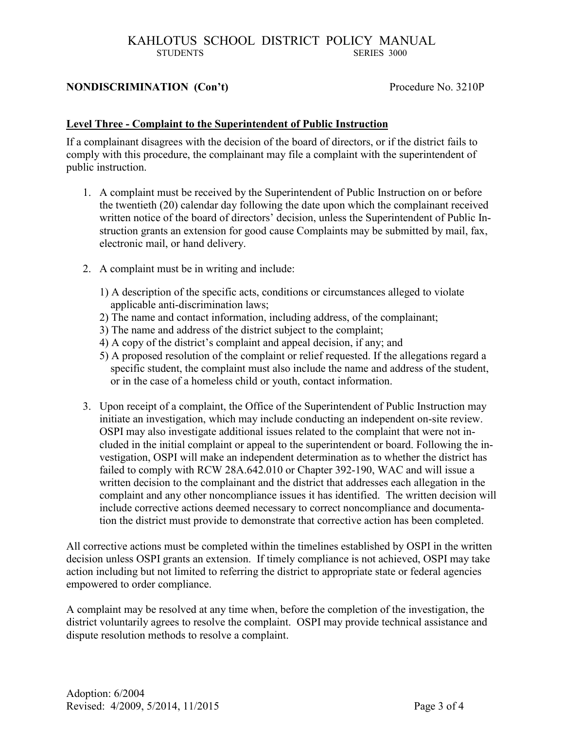# KAHLOTUS SCHOOL DISTRICT POLICY MANUAL STUDENTS SERIES 3000

# **NONDISCRIMINATION** (Con't) Procedure No. 3210P

# **Level Three - Complaint to the Superintendent of Public Instruction**

If a complainant disagrees with the decision of the board of directors, or if the district fails to comply with this procedure, the complainant may file a complaint with the superintendent of public instruction.

- 1. A complaint must be received by the Superintendent of Public Instruction on or before the twentieth (20) calendar day following the date upon which the complainant received written notice of the board of directors' decision, unless the Superintendent of Public Instruction grants an extension for good cause Complaints may be submitted by mail, fax, electronic mail, or hand delivery.
- 2. A complaint must be in writing and include:
	- 1) A description of the specific acts, conditions or circumstances alleged to violate applicable anti-discrimination laws;
	- 2) The name and contact information, including address, of the complainant;
	- 3) The name and address of the district subject to the complaint;
	- 4) A copy of the district's complaint and appeal decision, if any; and
	- 5) A proposed resolution of the complaint or relief requested. If the allegations regard a specific student, the complaint must also include the name and address of the student, or in the case of a homeless child or youth, contact information.
- 3. Upon receipt of a complaint, the Office of the Superintendent of Public Instruction may initiate an investigation, which may include conducting an independent on-site review. OSPI may also investigate additional issues related to the complaint that were not included in the initial complaint or appeal to the superintendent or board. Following the investigation, OSPI will make an independent determination as to whether the district has failed to comply with RCW 28A.642.010 or Chapter 392-190, WAC and will issue a written decision to the complainant and the district that addresses each allegation in the complaint and any other noncompliance issues it has identified. The written decision will include corrective actions deemed necessary to correct noncompliance and documentation the district must provide to demonstrate that corrective action has been completed.

All corrective actions must be completed within the timelines established by OSPI in the written decision unless OSPI grants an extension. If timely compliance is not achieved, OSPI may take action including but not limited to referring the district to appropriate state or federal agencies empowered to order compliance.

A complaint may be resolved at any time when, before the completion of the investigation, the district voluntarily agrees to resolve the complaint. OSPI may provide technical assistance and dispute resolution methods to resolve a complaint.